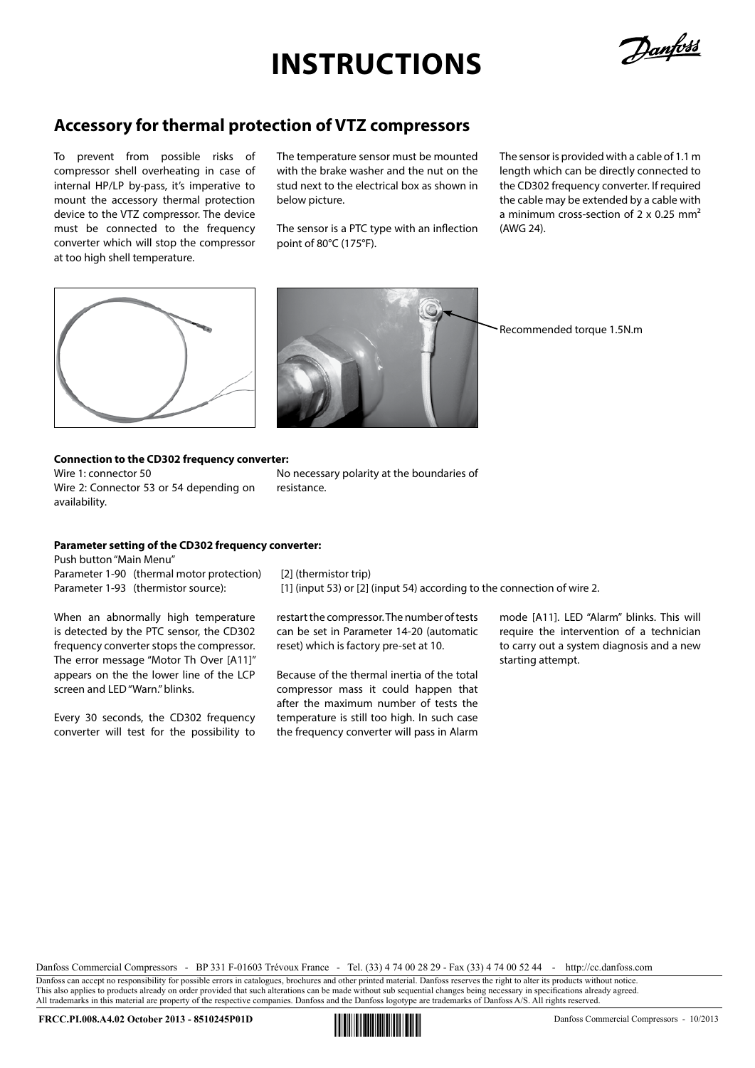## **Instructions**

Danfoss

### **Accessory for thermal protection of VTZ compressors**

To prevent from possible risks of compressor shell overheating in case of internal HP/LP by-pass, it's imperative to mount the accessory thermal protection device to the VTZ compressor. The device must be connected to the frequency converter which will stop the compressor at too high shell temperature.

The temperature sensor must be mounted with the brake washer and the nut on the stud next to the electrical box as shown in below picture.

The sensor is a PTC type with an inflection point of 80°C (175°F).

The sensor is provided with a cable of 1.1 m length which can be directly connected to the CD302 frequency converter. If required the cable may be extended by a cable with a minimum cross-section of 2 x 0.25 mm<sup>2</sup> (AWG 24).





Recommended torque 1.5N.m

#### **Connection to the CD302 frequency converter:**

Wire 1: connector 50 Wire 2: Connector 53 or 54 depending on availability.

No necessary polarity at the boundaries of resistance.

#### **Parameter setting of the CD302 frequency converter:**

Push button "Main Menu" Parameter 1-90 (thermal motor protection) [2] (thermistor trip)

When an abnormally high temperature is detected by the PTC sensor, the CD302 frequency converter stops the compressor. The error message "Motor Th Over [A11]" appears on the the lower line of the LCP screen and LED "Warn." blinks.

Every 30 seconds, the CD302 frequency converter will test for the possibility to

Parameter 1-93 (thermistor source): [1] (input 53) or [2] (input 54) according to the connection of wire 2.

restart the compressor. The number of tests can be set in Parameter 14-20 (automatic reset) which is factory pre-set at 10.

Because of the thermal inertia of the total compressor mass it could happen that after the maximum number of tests the temperature is still too high. In such case the frequency converter will pass in Alarm mode [A11]. LED "Alarm" blinks. This will require the intervention of a technician to carry out a system diagnosis and a new starting attempt.

Danfoss Commercial Compressors - BP 331 F-01603 Trévoux France - Tel. (33) 4 74 00 28 29 - Fax (33) 4 74 00 52 44 - http://cc.danfoss.com

Danfoss can accept no responsibility for possible errors in catalogues, brochures and other printed material. Danfoss reserves the right to alter its products without notice. This also applies to products already on order provided that such alterations can be made without sub sequential changes being necessary in specifications already agreed. All trademarks in this material are property of the respective companies. Danfoss and the Danfoss logotype are trademarks of Danfoss A/S. All rights reserved.